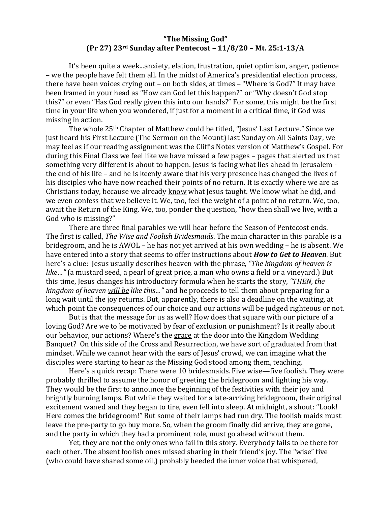## **"The Missing God" (Pr 27) 23rd Sunday after Pentecost – 11/8/20 – Mt. 25:1-13/A**

It's been quite a week...anxiety, elation, frustration, quiet optimism, anger, patience – we the people have felt them all. In the midst of America's presidential election process, there have been voices crying out – on both sides, at times – "Where is God?" It may have been framed in your head as "How can God let this happen?" or "Why doesn't God stop this?" or even "Has God really given this into our hands?" For some, this might be the first time in your life when you wondered, if just for a moment in a critical time, if God was missing in action.

The whole 25th Chapter of Matthew could be titled, "Jesus' Last Lecture." Since we just heard his First Lecture (The Sermon on the Mount) last Sunday on All Saints Day, we may feel as if our reading assignment was the Cliff's Notes version of Matthew's Gospel. For during this Final Class we feel like we have missed a few pages – pages that alerted us that something very different is about to happen. Jesus is facing what lies ahead in Jerusalem the end of his life – and he is keenly aware that his very presence has changed the lives of his disciples who have now reached their points of no return. It is exactly where we are as Christians today, because we already know what Jesus taught. We know what he did, and we even confess that we believe it. We, too, feel the weight of a point of no return. We, too, await the Return of the King. We, too, ponder the question, "how then shall we live, with a God who is missing?"

There are three final parables we will hear before the Season of Pentecost ends. The first is called, *The Wise and Foolish Bridesmaids*. The main character in this parable is a bridegroom, and he is AWOL – he has not yet arrived at his own wedding – he is absent. We have entered into a story that seems to offer instructions about *How to Get to Heaven.* But here's a clue: Jesus usually describes heaven with the phrase, *"The kingdom of heaven is like…"* (a mustard seed, a pearl of great price, a man who owns a field or a vineyard.) But this time, Jesus changes his introductory formula when he starts the story, *"THEN, the kingdom of heaven will be like this…"* and he proceeds to tell them about preparing for a long wait until the joy returns. But, apparently, there is also a deadline on the waiting, at which point the consequences of our choice and our actions will be judged righteous or not.

But is that the message for us as well? How does that square with our picture of a loving God? Are we to be motivated by fear of exclusion or punishment? Is it really about our behavior, our actions? Where's the grace at the door into the Kingdom Wedding Banquet? On this side of the Cross and Resurrection, we have sort of graduated from that mindset. While we cannot hear with the ears of Jesus' crowd, we can imagine what the disciples were starting to hear as the Missing God stood among them, teaching.

Here's a quick recap: There were 10 bridesmaids. Five wise—five foolish. They were probably thrilled to assume the honor of greeting the bridegroom and lighting his way. They would be the first to announce the beginning of the festivities with their joy and brightly burning lamps. But while they waited for a late-arriving bridegroom, their original excitement waned and they began to tire, even fell into sleep. At midnight, a shout: "Look! Here comes the bridegroom!" But some of their lamps had run dry. The foolish maids must leave the pre-party to go buy more. So, when the groom finally did arrive, they are gone, and the party in which they had a prominent role, must go ahead without them.

Yet, they are not the only ones who fail in this story. Everybody fails to be there for each other. The absent foolish ones missed sharing in their friend's joy. The "wise" five (who could have shared some oil,) probably heeded the inner voice that whispered,